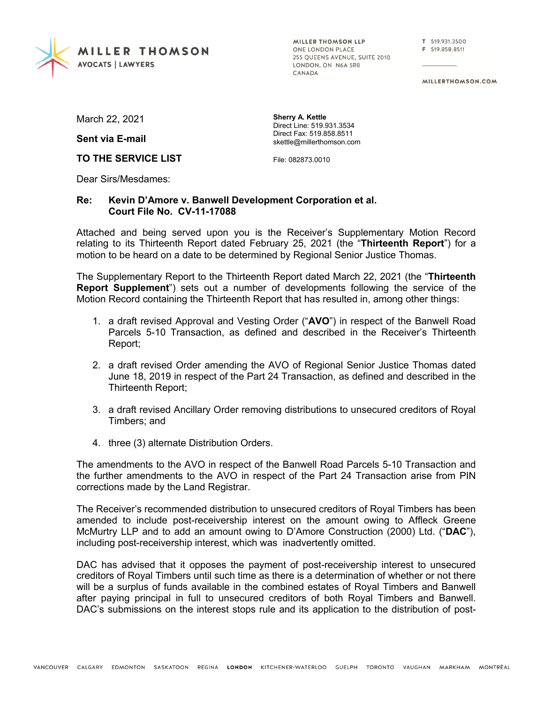

MILLER THOMSON LLP ONE LONDON PLACE 255 OUEENS AVENUE, SUITE 2010 LONDON, ON N6A 5R8 CANADA

T 519.931.3500 F 519.858.8511

MILLERTHOMSON.COM

March 22, 2021

**Sent via E-mail**

**TO THE SERVICE LIST**

**Sherry A. Kettle** Direct Line: 519.931.3534 Direct Fax: 519.858.8511 skettle@millerthomson.com

File: 082873.0010

Dear Sirs/Mesdames:

## **Re: Kevin D'Amore v. Banwell Development Corporation et al. Court File No. CV-11-17088**

Attached and being served upon you is the Receiver's Supplementary Motion Record relating to its Thirteenth Report dated February 25, 2021 (the "**Thirteenth Report**") for a motion to be heard on a date to be determined by Regional Senior Justice Thomas.

The Supplementary Report to the Thirteenth Report dated March 22, 2021 (the "**Thirteenth Report Supplement**") sets out a number of developments following the service of the Motion Record containing the Thirteenth Report that has resulted in, among other things:

- 1. a draft revised Approval and Vesting Order ("**AVO**") in respect of the Banwell Road Parcels 5-10 Transaction, as defined and described in the Receiver's Thirteenth Report;
- 2. a draft revised Order amending the AVO of Regional Senior Justice Thomas dated June 18, 2019 in respect of the Part 24 Transaction, as defined and described in the Thirteenth Report;
- 3. a draft revised Ancillary Order removing distributions to unsecured creditors of Royal Timbers; and
- 4. three (3) alternate Distribution Orders.

The amendments to the AVO in respect of the Banwell Road Parcels 5-10 Transaction and the further amendments to the AVO in respect of the Part 24 Transaction arise from PIN corrections made by the Land Registrar.

The Receiver's recommended distribution to unsecured creditors of Royal Timbers has been amended to include post-receivership interest on the amount owing to Affleck Greene McMurtry LLP and to add an amount owing to D'Amore Construction (2000) Ltd. ("**DAC**"), including post-receivership interest, which was inadvertently omitted.

DAC has advised that it opposes the payment of post-receivership interest to unsecured creditors of Royal Timbers until such time as there is a determination of whether or not there will be a surplus of funds available in the combined estates of Royal Timbers and Banwell after paying principal in full to unsecured creditors of both Royal Timbers and Banwell. DAC's submissions on the interest stops rule and its application to the distribution of post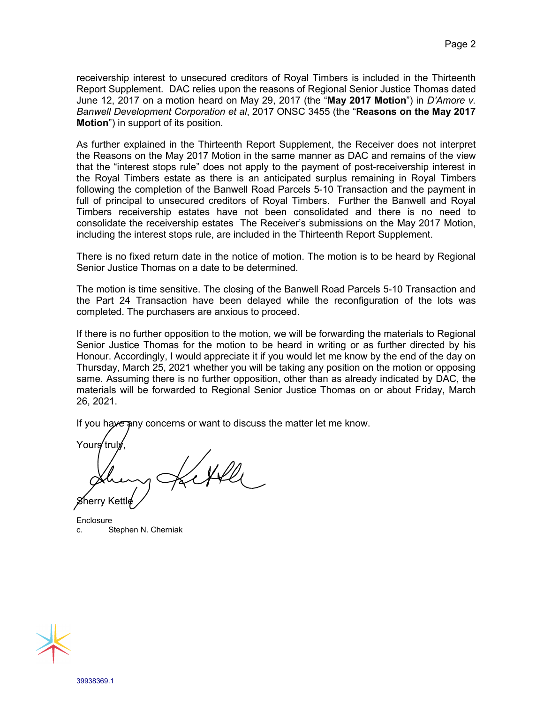receivership interest to unsecured creditors of Royal Timbers is included in the Thirteenth Report Supplement. DAC relies upon the reasons of Regional Senior Justice Thomas dated June 12, 2017 on a motion heard on May 29, 2017 (the "**May 2017 Motion**") in *D'Amore v. Banwell Development Corporation et al*, 2017 ONSC 3455 (the "**Reasons on the May 2017 Motion**") in support of its position.

As further explained in the Thirteenth Report Supplement, the Receiver does not interpret the Reasons on the May 2017 Motion in the same manner as DAC and remains of the view that the "interest stops rule" does not apply to the payment of post-receivership interest in the Royal Timbers estate as there is an anticipated surplus remaining in Royal Timbers following the completion of the Banwell Road Parcels 5-10 Transaction and the payment in full of principal to unsecured creditors of Royal Timbers. Further the Banwell and Royal Timbers receivership estates have not been consolidated and there is no need to consolidate the receivership estates The Receiver's submissions on the May 2017 Motion, including the interest stops rule, are included in the Thirteenth Report Supplement.

There is no fixed return date in the notice of motion. The motion is to be heard by Regional Senior Justice Thomas on a date to be determined.

The motion is time sensitive. The closing of the Banwell Road Parcels 5-10 Transaction and the Part 24 Transaction have been delayed while the reconfiguration of the lots was completed. The purchasers are anxious to proceed.

If there is no further opposition to the motion, we will be forwarding the materials to Regional Senior Justice Thomas for the motion to be heard in writing or as further directed by his Honour. Accordingly, I would appreciate it if you would let me know by the end of the day on Thursday, March 25, 2021 whether you will be taking any position on the motion or opposing same. Assuming there is no further opposition, other than as already indicated by DAC, the materials will be forwarded to Regional Senior Justice Thomas on or about Friday, March 26, 2021.

If you have any concerns or want to discuss the matter let me know.

Yours tru herry Kettle

**Enclosure** c. Stephen N. Cherniak

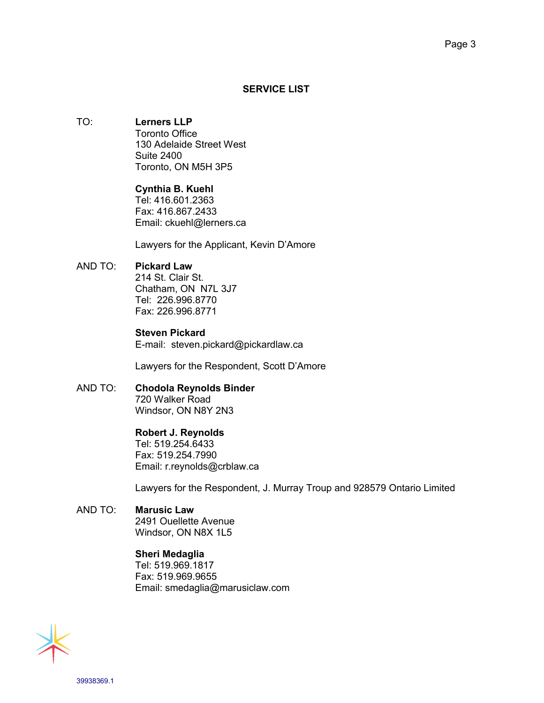### **SERVICE LIST**

# TO: **Lerners LLP**

Toronto Office 130 Adelaide Street West Suite 2400 Toronto, ON M5H 3P5

# **Cynthia B. Kuehl**

Tel: 416.601.2363 Fax: 416.867.2433 Email: ckuehl@lerners.ca

Lawyers for the Applicant, Kevin D'Amore

# AND TO: **Pickard Law**

214 St. Clair St. Chatham, ON N7L 3J7 Tel: 226.996.8770 Fax: 226.996.8771

## **Steven Pickard**

E-mail: steven.pickard@pickardlaw.ca

Lawyers for the Respondent, Scott D'Amore

# AND TO: **Chodola Reynolds Binder**

720 Walker Road Windsor, ON N8Y 2N3

### **Robert J. Reynolds**

Tel: 519.254.6433 Fax: 519.254.7990 Email: r.reynolds@crblaw.ca

Lawyers for the Respondent, J. Murray Troup and 928579 Ontario Limited

# AND TO: **Marusic Law**

2491 Ouellette Avenue Windsor, ON N8X 1L5

### **Sheri Medaglia**

Tel: 519.969.1817 Fax: 519.969.9655 Email: smedaglia@marusiclaw.com

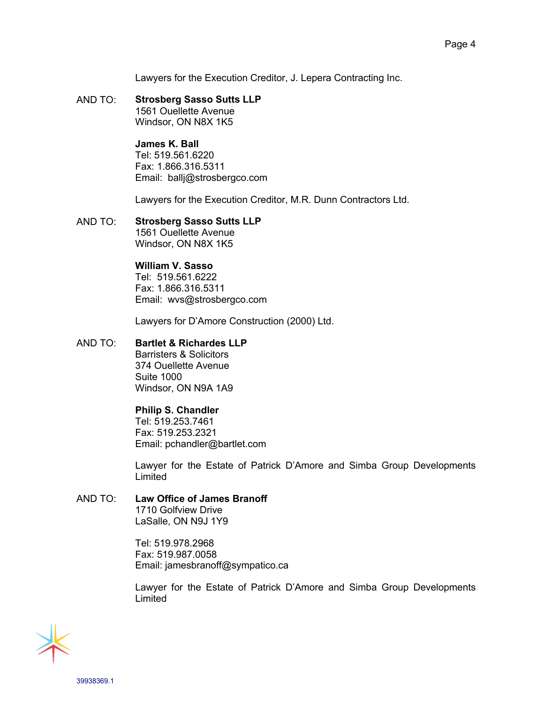Lawyers for the Execution Creditor, J. Lepera Contracting Inc.

AND TO: **Strosberg Sasso Sutts LLP** 1561 Ouellette Avenue Windsor, ON N8X 1K5

### **James K. Ball**

Tel: 519.561.6220 Fax: 1.866.316.5311 Email: ballj@strosbergco.com

Lawyers for the Execution Creditor, M.R. Dunn Contractors Ltd.

AND TO: **Strosberg Sasso Sutts LLP** 1561 Ouellette Avenue Windsor, ON N8X 1K5

## **William V. Sasso**

Tel: 519.561.6222 Fax: 1.866.316.5311 Email: wvs@strosbergco.com

Lawyers for D'Amore Construction (2000) Ltd.

# AND TO: **Bartlet & Richardes LLP**

Barristers & Solicitors 374 Ouellette Avenue Suite 1000 Windsor, ON N9A 1A9

### **Philip S. Chandler**

Tel: 519.253.7461 Fax: 519.253.2321 Email: pchandler@bartlet.com

Lawyer for the Estate of Patrick D'Amore and Simba Group Developments Limited

## AND TO: **Law Office of James Branoff**

1710 Golfview Drive LaSalle, ON N9J 1Y9

Tel: 519.978.2968 Fax: 519.987.0058 Email: jamesbranoff@sympatico.ca

Lawyer for the Estate of Patrick D'Amore and Simba Group Developments Limited

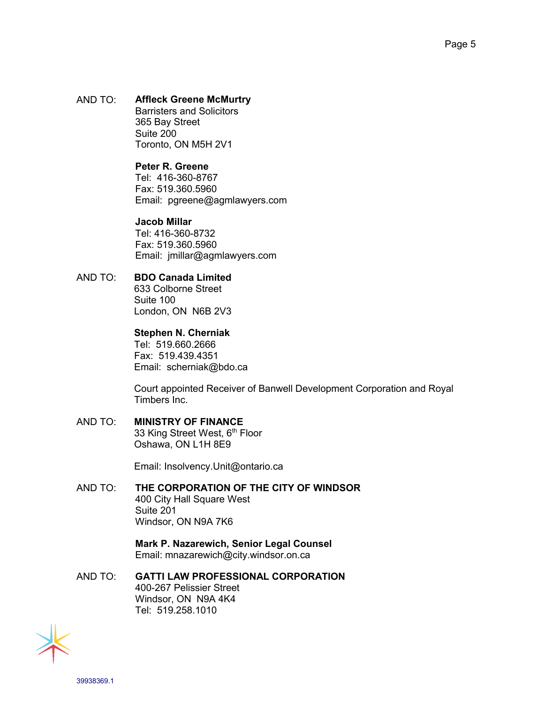AND TO: **Affleck Greene McMurtry** Barristers and Solicitors 365 Bay Street Suite 200 Toronto, ON M5H 2V1

### **Peter R. Greene**

Tel: 416-360-8767 Fax: 519.360.5960 Email: pgreene@agmlawyers.com

#### **Jacob Millar**

Tel: 416-360-8732 Fax: 519.360.5960 Email: jmillar@agmlawyers.com

### AND TO: **BDO Canada Limited**

633 Colborne Street Suite 100 London, ON N6B 2V3

#### **Stephen N. Cherniak**

Tel: 519.660.2666 Fax: 519.439.4351 Email: scherniak@bdo.ca

Court appointed Receiver of Banwell Development Corporation and Royal Timbers Inc.

#### AND TO: **MINISTRY OF FINANCE** 33 King Street West, 6<sup>th</sup> Floor Oshawa, ON L1H 8E9

Email: Insolvency.Unit@ontario.ca

## AND TO: **THE CORPORATION OF THE CITY OF WINDSOR** 400 City Hall Square West Suite 201 Windsor, ON N9A 7K6

**Mark P. Nazarewich, Senior Legal Counsel** Email: mnazarewich@city.windsor.on.ca

AND TO: **GATTI LAW PROFESSIONAL CORPORATION** 400-267 Pelissier Street Windsor, ON N9A 4K4 Tel: 519.258.1010